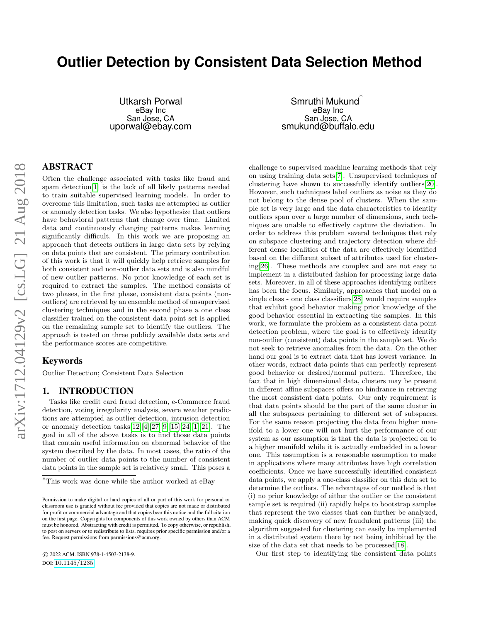# <span id="page-0-0"></span>**Outlier Detection by Consistent Data Selection Method**

Utkarsh Porwal eBay Inc San Jose, CA uporwal@ebay.com

Smruthi Mukund ∗ eBay Inc San Jose, CA smukund@buffalo.edu

# ABSTRACT

Often the challenge associated with tasks like fraud and spam detection[\[1\]](#page-5-0) is the lack of all likely patterns needed to train suitable supervised learning models. In order to overcome this limitation, such tasks are attempted as outlier or anomaly detection tasks. We also hypothesize that outliers have behavioral patterns that change over time. Limited data and continuously changing patterns makes learning significantly difficult. In this work we are proposing an approach that detects outliers in large data sets by relying on data points that are consistent. The primary contribution of this work is that it will quickly help retrieve samples for both consistent and non-outlier data sets and is also mindful of new outlier patterns. No prior knowledge of each set is required to extract the samples. The method consists of two phases, in the first phase, consistent data points (nonoutliers) are retrieved by an ensemble method of unsupervised clustering techniques and in the second phase a one class classifier trained on the consistent data point set is applied on the remaining sample set to identify the outliers. The approach is tested on three publicly available data sets and the performance scores are competitive.

#### Keywords

Outlier Detection; Consistent Data Selection

#### 1. INTRODUCTION

Tasks like credit card fraud detection, e-Commerce fraud detection, voting irregularity analysis, severe weather predictions are attempted as outlier detection, intrusion detection or anomaly detection tasks  $[12][4][27][9][15][24][1][21]$  $[12][4][27][9][15][24][1][21]$  $[12][4][27][9][15][24][1][21]$  $[12][4][27][9][15][24][1][21]$  $[12][4][27][9][15][24][1][21]$  $[12][4][27][9][15][24][1][21]$  $[12][4][27][9][15][24][1][21]$  $[12][4][27][9][15][24][1][21]$ . The goal in all of the above tasks is to find those data points that contain useful information on abnormal behavior of the system described by the data. In most cases, the ratio of the number of outlier data points to the number of consistent data points in the sample set is relatively small. This poses a

 c 2022 ACM. ISBN 978-1-4503-2138-9. DOI: <10.1145/1235>

challenge to supervised machine learning methods that rely on using training data sets[\[7\]](#page-5-7). Unsupervised techniques of clustering have shown to successfully identify outliers[\[20\]](#page-5-8). However, such techniques label outliers as noise as they do not belong to the dense pool of clusters. When the sample set is very large and the data characteristics to identify outliers span over a large number of dimensions, such techniques are unable to effectively capture the deviation. In order to address this problem several techniques that rely on subspace clustering and trajectory detection where different dense localities of the data are effectively identified based on the different subset of attributes used for clustering[\[26\]](#page-5-9). These methods are complex and are not easy to implement in a distributed fashion for processing large data sets. Moreover, in all of these approaches identifying outliers has been the focus. Similarly, approaches that model on a single class - one class classifiers[\[28\]](#page-6-1) would require samples that exhibit good behavior making prior knowledge of the good behavior essential in extracting the samples. In this work, we formulate the problem as a consistent data point detection problem, where the goal is to effectively identify non-outlier (consistent) data points in the sample set. We do not seek to retrieve anomalies from the data. On the other hand our goal is to extract data that has lowest variance. In other words, extract data points that can perfectly represent good behavior or desired/normal pattern. Therefore, the fact that in high dimensional data, clusters may be present in different affine subspaces offers no hindrance in retrieving the most consistent data points. Our only requirement is that data points should be the part of the same cluster in all the subspaces pertaining to different set of subspaces. For the same reason projecting the data from higher manifold to a lower one will not hurt the performance of our system as our assumption is that the data is projected on to a higher manifold while it is actually embedded in a lower one. This assumption is a reasonable assumption to make in applications where many attributes have high correlation coefficients. Once we have successfully identified consistent data points, we apply a one-class classifier on this data set to determine the outliers. The advantages of our method is that (i) no prior knowledge of either the outlier or the consistent sample set is required (ii) rapidly helps to bootstrap samples that represent the two classes that can further be analyzed, making quick discovery of new fraudulent patterns (iii) the algorithm suggested for clustering can easily be implemented in a distributed system there by not being inhibited by the size of the data set that needs to be processed[\[18\]](#page-5-10).

Our first step to identifying the consistent data points

 $^{\ast} \mathrm{This}$  work was done while the author worked at eBay

Permission to make digital or hard copies of all or part of this work for personal or classroom use is granted without fee provided that copies are not made or distributed for profit or commercial advantage and that copies bear this notice and the full citation on the first page. Copyrights for components of this work owned by others than ACM must be honored. Abstracting with credit is permitted. To copy otherwise, or republish, to post on servers or to redistribute to lists, requires prior specific permission and/or a fee. Request permissions from permissions@acm.org.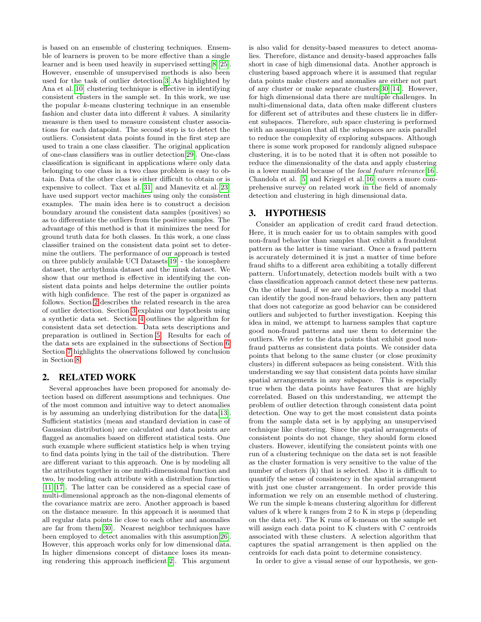is based on an ensemble of clustering techniques. Ensemble of learners is proven to be more effective than a single learner and is been used heavily in supervised setting[\[8\]](#page-5-11)[\[25\]](#page-5-12). However, ensemble of unsupervised methods is also been used for the task of outlier detection[\[3\]](#page-5-13).As highlighted by Ana et al.[\[10\]](#page-5-14) clustering technique is effective in identifying consistent clusters in the sample set. In this work, we use the popular  $k$ -means clustering technique in an ensemble fashion and cluster data into different  $k$  values. A similarity measure is then used to measure consistent cluster associations for each datapoint. The second step is to detect the outliers. Consistent data points found in the first step are used to train a one class classifier. The original application of one-class classifiers was in outlier detection[\[29\]](#page-6-2). One-class classification is significant in applications where only data belonging to one class in a two class problem is easy to obtain. Data of the other class is either difficult to obtain or is expensive to collect. Tax et al.[\[31\]](#page-6-3) and Manevitz et al.[\[23\]](#page-5-15) have used support vector machines using only the consistent examples. The main idea here is to construct a decision boundary around the consistent data samples (positives) so as to differentiate the outliers from the positive samples. The advantage of this method is that it minimizes the need for ground truth data for both classes. In this work, a one class classifier trained on the consistent data point set to determine the outliers. The performance of our approach is tested on three publicly available UCI Datasets[\[19\]](#page-5-16) - the ionosphere dataset, the arrhythmia dataset and the musk dataset. We show that our method is effective in identifying the consistent data points and helps determine the outlier points with high confidence. The rest of the paper is organized as follows. Section [2](#page-1-0) describes the related research in the area of outlier detection. Section [3](#page-1-1) explains our hypothesis using a synthetic data set. Section [4](#page-2-0) outlines the algorithm for consistent data set detection. Data sets descriptions and preparation is outlined in Section [5.](#page-2-1) Results for each of the data sets are explained in the subsections of Section [6.](#page-3-0) Section [7](#page-4-0) highlights the observations followed by conclusion in Section [8.](#page-5-17)

# <span id="page-1-0"></span>2. RELATED WORK

Several approaches have been proposed for anomaly detection based on different assumptions and techniques. One of the most common and intuitive way to detect anomalies is by assuming an underlying distribution for the data[\[13\]](#page-5-18). Sufficient statistics (mean and standard deviation in case of Gaussian distribution) are calculated and data points are flagged as anomalies based on different statistical tests. One such example where sufficient statistics help is when trying to find data points lying in the tail of the distribution. There are different variant to this approach. One is by modeling all the attributes together in one multi-dimensional function and two, by modeling each attribute with a distribution function [\[11\]](#page-5-19)[\[17\]](#page-5-20). The latter can be considered as a special case of multi-dimensional approach as the non-diagonal elements of the covariance matrix are zero. Another approach is based on the distance measure. In this approach it is assumed that all regular data points lie close to each other and anomalies are far from them[\[30\]](#page-6-4). Nearest neighbor techniques have been employed to detect anomalies with this assumption[\[26\]](#page-5-9). However, this approach works only for low dimensional data. In higher dimensions concept of distance loses its meaning rendering this approach inefficient[\[2\]](#page-5-21). This argument

is also valid for density-based measures to detect anomalies. Therefore, distance and density-based approaches falls short in case of high dimensional data. Another approach is clustering based approach where it is assumed that regular data points make clusters and anomalies are either not part of any cluster or make separate clusters[\[30\]](#page-6-4)[\[14\]](#page-5-22). However, for high dimensional data there are multiple challenges. In multi-dimensional data, data often make different clusters for different set of attributes and these clusters lie in different subspaces. Therefore, sub space clustering is performed with an assumption that all the subspaces are axis parallel to reduce the complexity of exploring subspaces. Although there is some work proposed for randomly aligned subspace clustering, it is to be noted that it is often not possible to reduce the dimensionality of the data and apply clustering in a lower manifold because of the local feature relevance[\[16\]](#page-5-23). Chandola et al. [\[5\]](#page-5-24) and Kriegel et al.[\[16\]](#page-5-23) covers a more comprehensive survey on related work in the field of anomaly detection and clustering in high dimensional data.

## <span id="page-1-1"></span>3. HYPOTHESIS

Consider an application of credit card fraud detection. Here, it is much easier for us to obtain samples with good non-fraud behavior than samples that exhibit a fraudulent pattern as the latter is time variant. Once a fraud pattern is accurately determined it is just a matter of time before fraud shifts to a different area exhibiting a totally different pattern. Unfortunately, detection models built with a two class classification approach cannot detect these new patterns. On the other hand, if we are able to develop a model that can identify the good non-fraud behaviors, then any pattern that does not categorize as good behavior can be considered outliers and subjected to further investigation. Keeping this idea in mind, we attempt to harness samples that capture good non-fraud patterns and use them to determine the outliers. We refer to the data points that exhibit good nonfraud patterns as consistent data points. We consider data points that belong to the same cluster (or close proximity clusters) in different subspaces as being consistent. With this understanding we say that consistent data points have similar spatial arrangements in any subspace. This is especially true when the data points have features that are highly correlated. Based on this understanding, we attempt the problem of outlier detection through consistent data point detection. One way to get the most consistent data points from the sample data set is by applying an unsupervised technique like clustering. Since the spatial arrangements of consistent points do not change, they should form closed clusters. However, identifying the consistent points with one run of a clustering technique on the data set is not feasible as the cluster formation is very sensitive to the value of the number of clusters (k) that is selected. Also it is difficult to quantify the sense of consistency in the spatial arrangement with just one cluster arrangement. In order provide this information we rely on an ensemble method of clustering. We run the simple k-means clustering algorithm for different values of k where k ranges from 2 to K in steps p (depending on the data set). The K runs of k-means on the sample set will assign each data point to K clusters with C centroids associated with these clusters. A selection algorithm that captures the spatial arrangement is then applied on the centroids for each data point to determine consistency.

In order to give a visual sense of our hypothesis, we gen-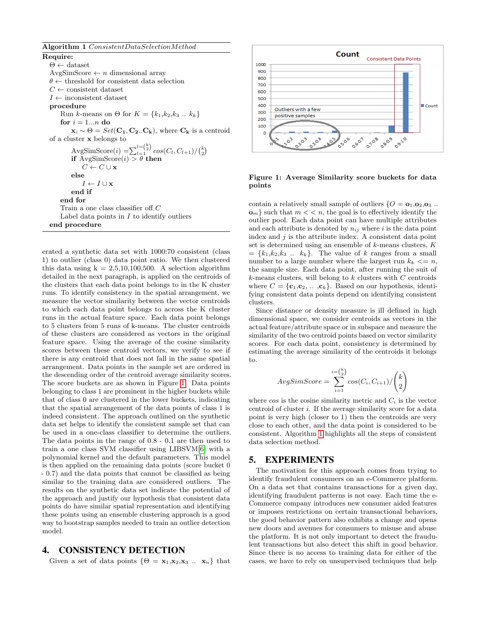Algorithm 1 ConsistentDataSelectionMethod

<span id="page-2-3"></span>Require:  $\Theta \leftarrow$  dataset AvgSimScore  $\leftarrow n$  dimensional array  $\theta \leftarrow$  threshold for consistent data selection  $C \leftarrow$  consistent dataset  $I \leftarrow$  inconsistent dataset procedure Run k-means on  $\Theta$  for  $K = \{k_1, k_2, k_3, \ldots, k_k\}$ for  $i = 1...n$  do  $\mathbf{x}_i \sim \Theta = Set(\mathbf{C}_1, \mathbf{C}_2, \mathbf{C}_k)$ , where  $\mathbf{C}_k$  is a centroid of a cluster x belongs to AvgSimScore $(i) = \sum_{l=1}^{l = \binom{k}{2}} cos(C_l, C_{l+1}) / \binom{k}{2}$ if  $AvgSimScore(i) > \theta$  then  $C \leftarrow C \cup \mathbf{x}$ else  $I \leftarrow I \cup \mathbf{x}$ end if end for Train a one class classifier off C Label data points in  $I$  to identify outliers end procedure

erated a synthetic data set with 1000:70 consistent (class 1) to outlier (class 0) data point ratio. We then clustered this data using  $k = 2,5,10,100,500$ . A selection algorithm detailed in the next paragraph, is applied on the centroids of the clusters that each data point belongs to in the K cluster runs. To identify consistency in the spatial arrangement, we measure the vector similarity between the vector centroids to which each data point belongs to across the K cluster runs in the actual feature space. Each data point belongs to 5 clusters from 5 runs of k-means. The cluster centroids of these clusters are considered as vectors in the original feature space. Using the average of the cosine similarity scores between these centroid vectors, we verify to see if there is any centroid that does not fall in the same spatial arrangement. Data points in the sample set are ordered in the descending order of the centroid average similarity scores. The score buckets are as shown in Figure [1.](#page-2-2) Data points belonging to class 1 are prominent in the higher buckets while that of class 0 are clustered in the lower buckets, indicating that the spatial arrangement of the data points of class 1 is indeed consistent. The approach outlined on the synthetic data set helps to identify the consistent sample set that can be used in a one-class classifier to determine the outliers. The data points in the range of 0.8 - 0.1 are then used to train a one class SVM classifier using LIBSVM[\[6\]](#page-5-25) with a polynomial kernel and the default parameters. This model is then applied on the remaining data points (score bucket 0 - 0.7) and the data points that cannot be classified as being similar to the training data are considered outliers. The results on the synthetic data set indicate the potential of the approach and justify our hypothesis that consistent data points do have similar spatial representation and identifying these points using an ensemble clustering approach is a good way to bootstrap samples needed to train an outlier detection model.

# <span id="page-2-0"></span>4. CONSISTENCY DETECTION

Given a set of data points  $\{\Theta = \mathbf{x}_1, \mathbf{x}_2, \mathbf{x}_3 \dots \mathbf{x}_n\}$  that



<span id="page-2-2"></span>Figure 1: Average Similarity score buckets for data points

contain a relatively small sample of outliers  $\{O = \mathbf{o}_1, \mathbf{o}_2, \mathbf{o}_3\}$ .  $\{o_m\}$  such that  $m < n$ , the goal is to effectively identify the outlier pool. Each data point can have multiple attributes and each attribute is denoted by  $n_{ij}$  where i is the data point index and  $j$  is the attribute index. A consistent data point set is determined using an ensemble of  $k$ -means clusters,  $K$  $=\{k_1,k_2,k_3... k_k\}$ . The value of k ranges from a small number to a large number where the largest run  $k_k \leq n$ , the sample size. Each data point, after running the suit of  $k$ -means clusters, will belong to  $k$  clusters with  $C$  centroids where  $C = \{c_1, c_2, \dots, c_k\}$ . Based on our hypothesis, identifying consistent data points depend on identifying consistent clusters.

Since distance or density measure is ill defined in high dimensional space, we consider centroids as vectors in the actual feature/attribute space or in subspace and measure the similarity of the two centroid points based on vector similarity scores. For each data point, consistency is determined by estimating the average similarity of the centroids it belongs to.

$$
AvgSimScore = \sum_{i=1}^{i = {k \choose 2}} cos(C_i, C_{i+1}) / {k \choose 2}
$$

where  $\cos$  is the cosine similarity metric and  $C_i$  is the vector centroid of cluster i. If the average similarity score for a data point is very high (closer to 1) then the centroids are very close to each other, and the data point is considered to be consistent. Algorithm [1](#page-2-3) highlights all the steps of consistent data selection method.

#### <span id="page-2-1"></span>5. EXPERIMENTS

The motivation for this approach comes from trying to identify fraudulent consumers on an e-Commerce platform. On a data set that contains transactions for a given day, identifying fraudulent patterns is not easy. Each time the e-Commerce company introduces new consumer aided features or imposes restrictions on certain transactional behaviors, the good behavior pattern also exhibits a change and opens new doors and avenues for consumers to misuse and abuse the platform. It is not only important to detect the fraudulent transactions but also detect this shift in good behavior. Since there is no access to training data for either of the cases, we have to rely on unsupervised techniques that help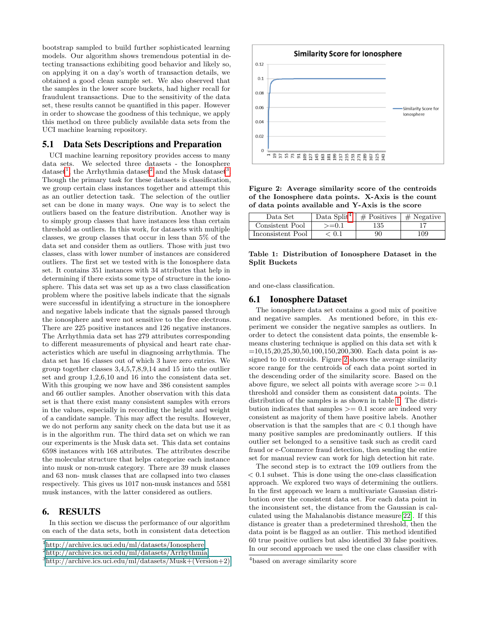bootstrap sampled to build further sophisticated learning models. Our algorithm shows tremendous potential in detecting transactions exhibiting good behavior and likely so, on applying it on a day's worth of transaction details, we obtained a good clean sample set. We also observed that the samples in the lower score buckets, had higher recall for fraudulent transactions. Due to the sensitivity of the data set, these results cannot be quantified in this paper. However in order to showcase the goodness of this technique, we apply this method on three publicly available data sets from the UCI machine learning repository.

#### 5.1 Data Sets Descriptions and Preparation

UCI machine learning repository provides access to many data sets. We selected three datasets - the Ionosphere dataset<sup>[1](#page-3-1)</sup>, the Arrhythmia dataset<sup>[2](#page-3-2)</sup> and the Musk dataset<sup>[3](#page-3-3)</sup>. Though the primary task for these datasets is classification, we group certain class instances together and attempt this as an outlier detection task. The selection of the outlier set can be done in many ways. One way is to select the outliers based on the feature distribution. Another way is to simply group classes that have instances less than certain threshold as outliers. In this work, for datasets with multiple classes, we group classes that occur in less than 5% of the data set and consider them as outliers. Those with just two classes, class with lower number of instances are considered outliers. The first set we tested with is the Ionosphere data set. It contains 351 instances with 34 attributes that help in determining if there exists some type of structure in the ionosphere. This data set was set up as a two class classification problem where the positive labels indicate that the signals were successful in identifying a structure in the ionosphere and negative labels indicate that the signals passed through the ionosphere and were not sensitive to the free electrons. There are 225 positive instances and 126 negative instances. The Arrhythmia data set has 279 attributes corresponding to different measurements of physical and heart rate characteristics which are useful in diagnosing arrhythmia. The data set has 16 classes out of which 3 have zero entries. We group together classes 3,4,5,7,8,9,14 and 15 into the outlier set and group 1,2,6,10 and 16 into the consistent data set. With this grouping we now have and 386 consistent samples and 66 outlier samples. Another observation with this data set is that there exist many consistent samples with errors in the values, especially in recording the height and weight of a candidate sample. This may affect the results. However, we do not perform any sanity check on the data but use it as is in the algorithm run. The third data set on which we ran our experiments is the Musk data set. This data set contains 6598 instances with 168 attributes. The attributes describe the molecular structure that helps categorize each instance into musk or non-musk category. There are 39 musk classes and 63 non- musk classes that are collapsed into two classes respectively. This gives us 1017 non-musk instances and 5581 musk instances, with the latter considered as outliers.

## <span id="page-3-0"></span>6. RESULTS

In this section we discuss the performance of our algorithm on each of the data sets, both in consistent data detection



<span id="page-3-5"></span>Figure 2: Average similarity score of the centroids of the Ionosphere data points. X-Axis is the count of data points available and Y-Axis is the score

| Data Set          | Data Split <sup>4</sup> | $#$ Positives | $\#$ Negative |
|-------------------|-------------------------|---------------|---------------|
| Consistent Pool   | $=0.1$                  | 135           |               |
| Inconsistent Pool | 0.1                     | 90            | 109           |

<span id="page-3-6"></span>Table 1: Distribution of Ionosphere Dataset in the Split Buckets

and one-class classification.

#### 6.1 Ionosphere Dataset

The ionosphere data set contains a good mix of positive and negative samples. As mentioned before, in this experiment we consider the negative samples as outliers. In order to detect the consistent data points, the ensemble kmeans clustering technique is applied on this data set with k  $=10,15,20,25,30,50,100,150,200,300$ . Each data point is assigned to 10 centroids. Figure [2](#page-3-5) shows the average similarity score range for the centroids of each data point sorted in the descending order of the similarity score. Based on the above figure, we select all points with average score  $\geq$  = 0.1 threshold and consider them as consistent data points. The distribution of the samples is as shown in table [1.](#page-3-6) The distribution indicates that samples  $\geq$  0.1 score are indeed very consistent as majority of them have positive labels. Another observation is that the samples that are  $\lt$  0.1 though have many positive samples are predominantly outliers. If this outlier set belonged to a sensitive task such as credit card fraud or e-Commerce fraud detection, then sending the entire set for manual review can work for high detection hit rate.

The second step is to extract the 109 outliers from the < 0.1 subset. This is done using the one-class classification approach. We explored two ways of determining the outliers. In the first approach we learn a multivariate Gaussian distribution over the consistent data set. For each data point in the inconsistent set, the distance from the Gaussian is calculated using the Mahalanobis distance measure[\[22\]](#page-5-26). If this distance is greater than a predetermined threshold, then the data point is be flagged as an outlier. This method identified 60 true positive outliers but also identified 30 false positives. In our second approach we used the one class classifier with

<span id="page-3-1"></span><sup>1</sup>[http://archive.ics.uci.edu/ml/datasets/Ionosphere](#page-0-0)

<span id="page-3-2"></span><sup>2</sup>[http://archive.ics.uci.edu/ml/datasets/Arrhythmia](#page-0-0)

<span id="page-3-3"></span><sup>3</sup>[http://archive.ics.uci.edu/ml/datasets/Musk+\(Version+2\)](#page-0-0)

<span id="page-3-4"></span><sup>&</sup>lt;sup>4</sup>based on average similarity score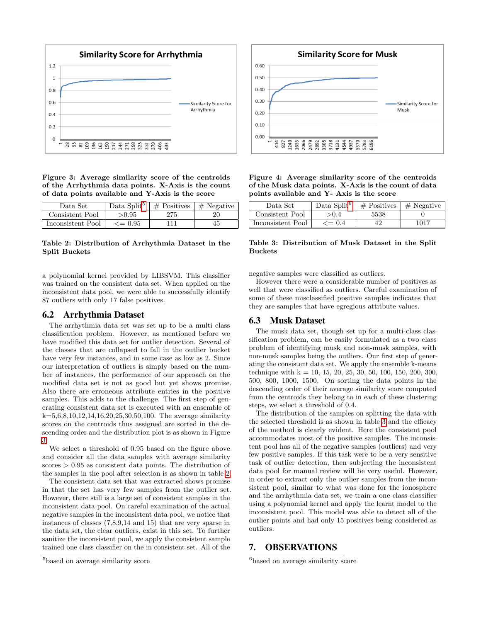

<span id="page-4-2"></span>Figure 3: Average similarity score of the centroids of the Arrhythmia data points. X-Axis is the count of data points available and Y-Axis is the score

| Data Set          | Data Split <sup>5</sup> | $#$ Positives | $\#$ Negative |
|-------------------|-------------------------|---------------|---------------|
| Consistent Pool   | >0.95                   | 275           |               |
| Inconsistent Pool | $\epsilon = 0.95$       | 111           | 45            |

<span id="page-4-3"></span>Table 2: Distribution of Arrhythmia Dataset in the Split Buckets

a polynomial kernel provided by LIBSVM. This classifier was trained on the consistent data set. When applied on the inconsistent data pool, we were able to successfully identify 87 outliers with only 17 false positives.

## 6.2 Arrhythmia Dataset

The arrhythmia data set was set up to be a multi class classification problem. However, as mentioned before we have modified this data set for outlier detection. Several of the classes that are collapsed to fall in the outlier bucket have very few instances, and in some case as low as 2. Since our interpretation of outliers is simply based on the number of instances, the performance of our approach on the modified data set is not as good but yet shows promise. Also there are erroneous attribute entries in the positive samples. This adds to the challenge. The first step of generating consistent data set is executed with an ensemble of  $k=5,6,8,10,12,14,16,20,25,30,50,100$ . The average similarity scores on the centroids thus assigned are sorted in the descending order and the distribution plot is as shown in Figure [3.](#page-4-2)

We select a threshold of 0.95 based on the figure above and consider all the data samples with average similarity scores > 0.95 as consistent data points. The distribution of the samples in the pool after selection is as shown in table [2.](#page-4-3)

The consistent data set that was extracted shows promise in that the set has very few samples from the outlier set. However, there still is a large set of consistent samples in the inconsistent data pool. On careful examination of the actual negative samples in the inconsistent data pool, we notice that instances of classes (7,8,9,14 and 15) that are very sparse in the data set, the clear outliers, exist in this set. To further sanitize the inconsistent pool, we apply the consistent sample trained one class classifier on the in consistent set. All of the



Figure 4: Average similarity score of the centroids of the Musk data points. X-Axis is the count of data points available and Y- Axis is the score

<span id="page-4-5"></span>

| Data Set          | Data Split <sup>6</sup> | $#$ Positives | $\pm$ Negative |
|-------------------|-------------------------|---------------|----------------|
| Consistent Pool   | >0.4                    | 5538          |                |
| Inconsistent Pool | $\epsilon = 0.4$        |               | 1017           |

Table 3: Distribution of Musk Dataset in the Split Buckets

negative samples were classified as outliers.

However there were a considerable number of positives as well that were classified as outliers. Careful examination of some of these misclassified positive samples indicates that they are samples that have egregious attribute values.

### 6.3 Musk Dataset

The musk data set, though set up for a multi-class classification problem, can be easily formulated as a two class problem of identifying musk and non-musk samples, with non-musk samples being the outliers. Our first step of generating the consistent data set. We apply the ensemble k-means technique with  $k = 10, 15, 20, 25, 30, 50, 100, 150, 200, 300,$ 500, 800, 1000, 1500. On sorting the data points in the descending order of their average similarity score computed from the centroids they belong to in each of these clustering steps, we select a threshold of 0.4.

The distribution of the samples on splitting the data with the selected threshold is as shown in table [3](#page-4-5) and the efficacy of the method is clearly evident. Here the consistent pool accommodates most of the positive samples. The inconsistent pool has all of the negative samples (outliers) and very few positive samples. If this task were to be a very sensitive task of outlier detection, then subjecting the inconsistent data pool for manual review will be very useful. However, in order to extract only the outlier samples from the inconsistent pool, similar to what was done for the ionosphere and the arrhythmia data set, we train a one class classifier using a polynomial kernel and apply the learnt model to the inconsistent pool. This model was able to detect all of the outlier points and had only 15 positives being considered as outliers.

## <span id="page-4-0"></span>7. OBSERVATIONS

<span id="page-4-4"></span><sup>6</sup>based on average similarity score

<span id="page-4-1"></span><sup>5</sup>based on average similarity score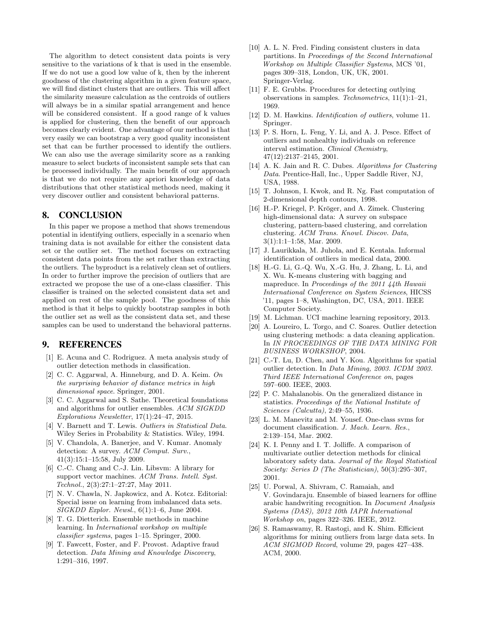The algorithm to detect consistent data points is very sensitive to the variations of k that is used in the ensemble. If we do not use a good low value of k, then by the inherent goodness of the clustering algorithm in a given feature space, we will find distinct clusters that are outliers. This will affect the similarity measure calculation as the centroids of outliers will always be in a similar spatial arrangement and hence will be considered consistent. If a good range of k values is applied for clustering, then the benefit of our approach becomes clearly evident. One advantage of our method is that very easily we can bootstrap a very good quality inconsistent set that can be further processed to identify the outliers. We can also use the average similarity score as a ranking measure to select buckets of inconsistent sample sets that can be processed individually. The main benefit of our approach is that we do not require any apriori knowledge of data distributions that other statistical methods need, making it very discover outlier and consistent behavioral patterns.

# <span id="page-5-17"></span>8. CONCLUSION

In this paper we propose a method that shows tremendous potential in identifying outliers, especially in a scenario when training data is not available for either the consistent data set or the outlier set. The method focuses on extracting consistent data points from the set rather than extracting the outliers. The byproduct is a relatively clean set of outliers. In order to further improve the precision of outliers that are extracted we propose the use of a one-class classifier. This classifier is trained on the selected consistent data set and applied on rest of the sample pool. The goodness of this method is that it helps to quickly bootstrap samples in both the outlier set as well as the consistent data set, and these samples can be used to understand the behavioral patterns.

#### 9. REFERENCES

- <span id="page-5-0"></span>[1] E. Acuna and C. Rodriguez. A meta analysis study of outlier detection methods in classification.
- <span id="page-5-21"></span>[2] C. C. Aggarwal, A. Hinneburg, and D. A. Keim. On the surprising behavior of distance metrics in high dimensional space. Springer, 2001.
- <span id="page-5-13"></span>[3] C. C. Aggarwal and S. Sathe. Theoretical foundations and algorithms for outlier ensembles. ACM SIGKDD Explorations Newsletter, 17(1):24–47, 2015.
- <span id="page-5-2"></span>[4] V. Barnett and T. Lewis. Outliers in Statistical Data. Wiley Series in Probability & Statistics. Wiley, 1994.
- <span id="page-5-24"></span>[5] V. Chandola, A. Banerjee, and V. Kumar. Anomaly detection: A survey. ACM Comput. Surv., 41(3):15:1–15:58, July 2009.
- <span id="page-5-25"></span>[6] C.-C. Chang and C.-J. Lin. Libsvm: A library for support vector machines. ACM Trans. Intell. Syst. Technol., 2(3):27:1–27:27, May 2011.
- <span id="page-5-7"></span>[7] N. V. Chawla, N. Japkowicz, and A. Kotcz. Editorial: Special issue on learning from imbalanced data sets.  $SIGKDD$  Explor. Newsl.,  $6(1):1-6$ , June 2004.
- <span id="page-5-11"></span>[8] T. G. Dietterich. Ensemble methods in machine learning. In International workshop on multiple classifier systems, pages 1–15. Springer, 2000.
- <span id="page-5-3"></span>[9] T. Fawcett, Foster, and F. Provost. Adaptive fraud detection. Data Mining and Knowledge Discovery, 1:291–316, 1997.
- <span id="page-5-14"></span>[10] A. L. N. Fred. Finding consistent clusters in data partitions. In Proceedings of the Second International Workshop on Multiple Classifier Systems, MCS '01, pages 309–318, London, UK, UK, 2001. Springer-Verlag.
- <span id="page-5-19"></span>[11] F. E. Grubbs. Procedures for detecting outlying observations in samples. Technometrics, 11(1):1–21, 1969.
- <span id="page-5-1"></span>[12] D. M. Hawkins. *Identification of outliers*, volume 11. Springer.
- <span id="page-5-18"></span>[13] P. S. Horn, L. Feng, Y. Li, and A. J. Pesce. Effect of outliers and nonhealthy individuals on reference interval estimation. Clinical Chemistry, 47(12):2137–2145, 2001.
- <span id="page-5-22"></span>[14] A. K. Jain and R. C. Dubes. Algorithms for Clustering Data. Prentice-Hall, Inc., Upper Saddle River, NJ, USA, 1988.
- <span id="page-5-4"></span>[15] T. Johnson, I. Kwok, and R. Ng. Fast computation of 2-dimensional depth contours, 1998.
- <span id="page-5-23"></span>[16] H.-P. Kriegel, P. Kröger, and A. Zimek. Clustering high-dimensional data: A survey on subspace clustering, pattern-based clustering, and correlation clustering. ACM Trans. Knowl. Discov. Data, 3(1):1:1–1:58, Mar. 2009.
- <span id="page-5-20"></span>[17] J. Laurikkala, M. Juhola, and E. Kentala. Informal identification of outliers in medical data, 2000.
- <span id="page-5-10"></span>[18] H.-G. Li, G.-Q. Wu, X.-G. Hu, J. Zhang, L. Li, and X. Wu. K-means clustering with bagging and mapreduce. In Proceedings of the 2011 44th Hawaii International Conference on System Sciences, HICSS '11, pages 1–8, Washington, DC, USA, 2011. IEEE Computer Society.
- <span id="page-5-16"></span>[19] M. Lichman. UCI machine learning repository, 2013.
- <span id="page-5-8"></span>[20] A. Loureiro, L. Torgo, and C. Soares. Outlier detection using clustering methods: a data cleaning application. In IN PROCEEDINGS OF THE DATA MINING FOR BUSINESS WORKSHOP, 2004.
- <span id="page-5-6"></span>[21] C.-T. Lu, D. Chen, and Y. Kou. Algorithms for spatial outlier detection. In Data Mining, 2003. ICDM 2003. Third IEEE International Conference on, pages 597–600. IEEE, 2003.
- <span id="page-5-26"></span>[22] P. C. Mahalanobis. On the generalized distance in statistics. Proceedings of the National Institute of Sciences (Calcutta), 2:49–55, 1936.
- <span id="page-5-15"></span>[23] L. M. Manevitz and M. Yousef. One-class svms for document classification. J. Mach. Learn. Res., 2:139–154, Mar. 2002.
- <span id="page-5-5"></span>[24] K. I. Penny and I. T. Jolliffe. A comparison of multivariate outlier detection methods for clinical laboratory safety data. Journal of the Royal Statistical Society: Series D (The Statistician), 50(3):295–307, 2001.
- <span id="page-5-12"></span>[25] U. Porwal, A. Shivram, C. Ramaiah, and V. Govindaraju. Ensemble of biased learners for offline arabic handwriting recognition. In Document Analysis Systems (DAS), 2012 10th IAPR International Workshop on, pages 322–326. IEEE, 2012.
- <span id="page-5-9"></span>[26] S. Ramaswamy, R. Rastogi, and K. Shim. Efficient algorithms for mining outliers from large data sets. In ACM SIGMOD Record, volume 29, pages 427–438. ACM, 2000.